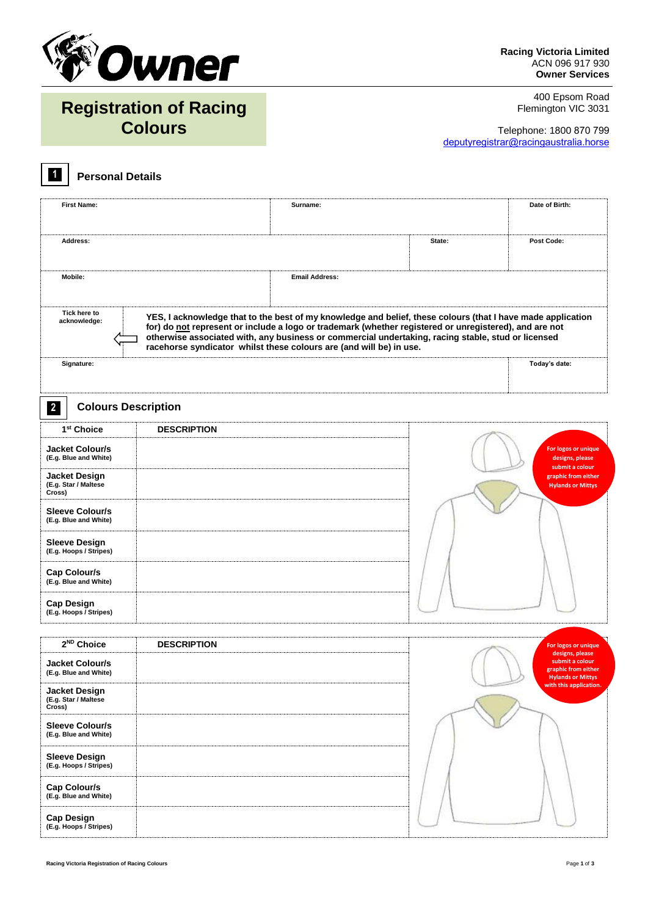

400 Epsom Road Flemington VIC 3031

# **Registration of Racing Colours**

Telephone: 1800 870 799 deputyregistrar@racingaustralia.horse

#### **Personal Details 1**

| <b>First Name:</b>                              |                    | Surname:                                                                                                                                                                                                     |        | Date of Birth:                                            |  |  |  |  |  |  |
|-------------------------------------------------|--------------------|--------------------------------------------------------------------------------------------------------------------------------------------------------------------------------------------------------------|--------|-----------------------------------------------------------|--|--|--|--|--|--|
|                                                 |                    |                                                                                                                                                                                                              |        |                                                           |  |  |  |  |  |  |
| Address:                                        |                    |                                                                                                                                                                                                              | State: | <b>Post Code:</b>                                         |  |  |  |  |  |  |
|                                                 |                    | <b>Email Address:</b>                                                                                                                                                                                        |        |                                                           |  |  |  |  |  |  |
| Mobile:                                         |                    |                                                                                                                                                                                                              |        |                                                           |  |  |  |  |  |  |
|                                                 |                    |                                                                                                                                                                                                              |        |                                                           |  |  |  |  |  |  |
| Tick here to<br>acknowledge:                    |                    | YES, I acknowledge that to the best of my knowledge and belief, these colours (that I have made application                                                                                                  |        |                                                           |  |  |  |  |  |  |
|                                                 |                    | for) do not represent or include a logo or trademark (whether registered or unregistered), and are not<br>otherwise associated with, any business or commercial undertaking, racing stable, stud or licensed |        |                                                           |  |  |  |  |  |  |
|                                                 |                    | racehorse syndicator whilst these colours are (and will be) in use.                                                                                                                                          |        |                                                           |  |  |  |  |  |  |
| Signature:                                      |                    |                                                                                                                                                                                                              |        | Today's date:                                             |  |  |  |  |  |  |
|                                                 |                    |                                                                                                                                                                                                              |        |                                                           |  |  |  |  |  |  |
| $\mathbf{2}$<br><b>Colours Description</b>      |                    |                                                                                                                                                                                                              |        |                                                           |  |  |  |  |  |  |
| 1 <sup>st</sup> Choice                          | <b>DESCRIPTION</b> |                                                                                                                                                                                                              |        |                                                           |  |  |  |  |  |  |
| <b>Jacket Colour/s</b>                          |                    |                                                                                                                                                                                                              |        | For logos or unique                                       |  |  |  |  |  |  |
| (E.g. Blue and White)                           |                    |                                                                                                                                                                                                              |        | designs, please<br>submit a colour                        |  |  |  |  |  |  |
| Jacket Design<br>(E.g. Star / Maltese           |                    |                                                                                                                                                                                                              |        | graphic from either<br><b>Hylands or Mittys</b>           |  |  |  |  |  |  |
| Cross)                                          |                    |                                                                                                                                                                                                              |        |                                                           |  |  |  |  |  |  |
| <b>Sleeve Colour/s</b><br>(E.g. Blue and White) |                    |                                                                                                                                                                                                              |        |                                                           |  |  |  |  |  |  |
|                                                 |                    |                                                                                                                                                                                                              |        |                                                           |  |  |  |  |  |  |
| <b>Sleeve Design</b><br>(E.g. Hoops / Stripes)  |                    |                                                                                                                                                                                                              |        |                                                           |  |  |  |  |  |  |
| Cap Colour/s                                    |                    |                                                                                                                                                                                                              |        |                                                           |  |  |  |  |  |  |
| (E.g. Blue and White)                           |                    |                                                                                                                                                                                                              |        |                                                           |  |  |  |  |  |  |
| <b>Cap Design</b>                               |                    |                                                                                                                                                                                                              |        |                                                           |  |  |  |  |  |  |
| (E.g. Hoops / Stripes)                          |                    |                                                                                                                                                                                                              |        |                                                           |  |  |  |  |  |  |
| 2 <sup>ND</sup> Choice                          |                    |                                                                                                                                                                                                              |        |                                                           |  |  |  |  |  |  |
|                                                 | <b>DESCRIPTION</b> |                                                                                                                                                                                                              |        | For logos or unique<br>designs, please<br>submit a colour |  |  |  |  |  |  |
| <b>Jacket Colour/s</b><br>(E.g. Blue and White) |                    |                                                                                                                                                                                                              |        | graphic from either<br><b>Hylands or Mittys</b>           |  |  |  |  |  |  |
| <b>Jacket Design</b>                            |                    |                                                                                                                                                                                                              |        | with this application.                                    |  |  |  |  |  |  |
| (E.g. Star / Maltese<br>Cross)                  |                    |                                                                                                                                                                                                              |        |                                                           |  |  |  |  |  |  |
| <b>Sleeve Colour/s</b>                          |                    |                                                                                                                                                                                                              |        |                                                           |  |  |  |  |  |  |
| (E.g. Blue and White)                           |                    |                                                                                                                                                                                                              |        |                                                           |  |  |  |  |  |  |
| <b>Sleeve Design</b><br>(E.g. Hoops / Stripes)  |                    |                                                                                                                                                                                                              |        |                                                           |  |  |  |  |  |  |
|                                                 |                    |                                                                                                                                                                                                              |        |                                                           |  |  |  |  |  |  |
| Cap Colour/s<br>(E.g. Blue and White)           |                    |                                                                                                                                                                                                              |        |                                                           |  |  |  |  |  |  |
| <b>Cap Design</b>                               |                    |                                                                                                                                                                                                              |        |                                                           |  |  |  |  |  |  |
| (E.g. Hoops / Stripes)                          |                    |                                                                                                                                                                                                              |        |                                                           |  |  |  |  |  |  |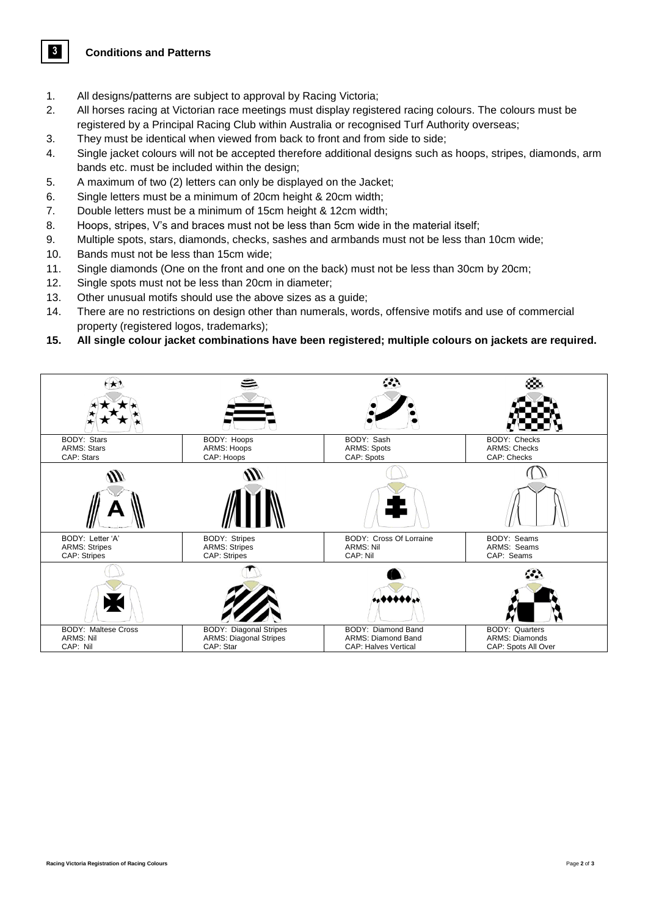**Conditions and Patterns** 

**3**

- 1. All designs/patterns are subject to approval by Racing Victoria;
- 2. All horses racing at Victorian race meetings must display registered racing colours. The colours must be registered by a Principal Racing Club within Australia or recognised Turf Authority overseas;
- 3. They must be identical when viewed from back to front and from side to side;
- 4. Single jacket colours will not be accepted therefore additional designs such as hoops, stripes, diamonds, arm bands etc. must be included within the design;
- 5. A maximum of two (2) letters can only be displayed on the Jacket;
- 6. Single letters must be a minimum of 20cm height & 20cm width;
- 7. Double letters must be a minimum of 15cm height & 12cm width;
- 8. Hoops, stripes, V's and braces must not be less than 5cm wide in the material itself;
- 9. Multiple spots, stars, diamonds, checks, sashes and armbands must not be less than 10cm wide;
- 10. Bands must not be less than 15cm wide;
- 11. Single diamonds (One on the front and one on the back) must not be less than 30cm by 20cm;
- 12. Single spots must not be less than 20cm in diameter;
- 13. Other unusual motifs should use the above sizes as a guide;
- 14. There are no restrictions on design other than numerals, words, offensive motifs and use of commercial property (registered logos, trademarks);
- **15. All single colour jacket combinations have been registered; multiple colours on jackets are required.**